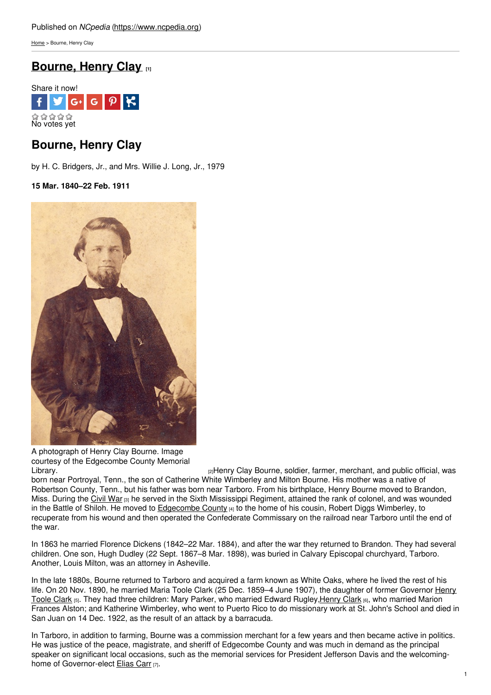[Home](https://www.ncpedia.org/) > Bourne, Henry Clay

# **[Bourne,](https://www.ncpedia.org/biography/bourne-henry-clay) Henry Clay [1]**



## **Bourne, Henry Clay**

by H. C. Bridgers, Jr., and Mrs. Willie J. Long, Jr., 1979

**15 Mar. 1840–22 Feb. 1911**



A photograph of Henry Clay Bourne. Image courtesy of the Edgecombe County Memorial

[Library.](http://edgecombelibrary.org/) **Example 2** Library. **Example 2** Library Clay Bourne, soldier, farmer, merchant, and public official, was born near Portroyal, Tenn., the son of Catherine White Wimberley and Milton Bourne. His mother was a native of Robertson County, Tenn., but his father was born near Tarboro. From his birthplace, Henry Bourne moved to Brandon, Miss. During the [Civil](https://www.ncpedia.org/civil-war) War [3] he served in the Sixth Mississippi Regiment, attained the rank of colonel, and was wounded in the Battle of Shiloh. He moved to [Edgecombe](https://www.ncpedia.org/geography/edgecombe) County [4] to the home of his cousin, Robert Diggs Wimberley, to recuperate from his wound and then operated the Confederate Commissary on the railroad near Tarboro until the end of the war.

In 1863 he married Florence Dickens (1842–22 Mar. 1884), and after the war they returned to Brandon. They had several children. One son, Hugh Dudley (22 Sept. 1867–8 Mar. 1898), was buried in Calvary Episcopal churchyard, Tarboro. Another, Louis Milton, was an attorney in Asheville.

In the late 1880s, Bourne returned to Tarboro and acquired a farm known as White Oaks, where he lived the rest of his life. On 20 Nov. 1890, he married Maria Toole Clark (25 Dec. 1859-4 June 1907), the daughter of former Governor Henry Toole Clark [5]. They had three children: Mary Parker, who married Edward [Rugley,](https://www.ncpedia.org/biography/clark-henry-toole) [Henry](https://www.ncpedia.org/biography/bourne-henry-clark) Clark [6], who married Marion Frances Alston; and Katherine Wimberley, who went to Puerto Rico to do missionary work at St. John's School and died in San Juan on 14 Dec. 1922, as the result of an attack by a barracuda.

In Tarboro, in addition to farming, Bourne was a commission merchant for a few years and then became active in politics. He was justice of the peace, magistrate, and sheriff of Edgecombe County and was much in demand as the principal speaker on significant local occasions, such as the memorial services for President Jefferson Davis and the welcoming-home of Governor-elect [Elias](https://www.ncpedia.org/biography/carr-elias) Carr [7].